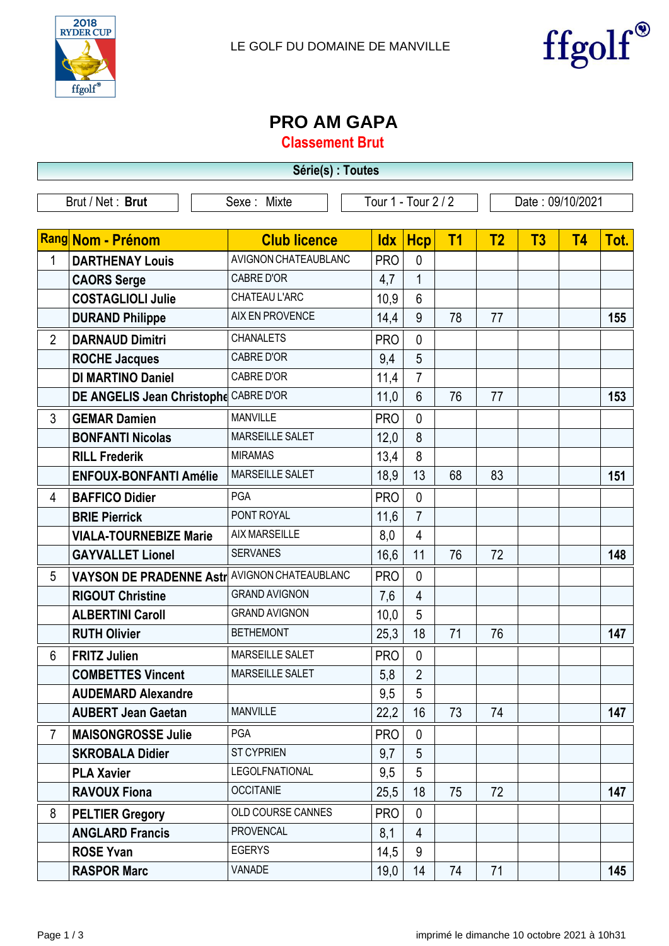



## **PRO AM GAPA**

**Classement Brut**

| Série(s) : Toutes |                                                           |                      |                     |                |                |                  |    |           |      |
|-------------------|-----------------------------------------------------------|----------------------|---------------------|----------------|----------------|------------------|----|-----------|------|
|                   | Brut / Net: Brut                                          | Sexe: Mixte          | Tour 1 - Tour 2 / 2 |                |                | Date: 09/10/2021 |    |           |      |
|                   | Rang Nom - Prénom                                         | <b>Club licence</b>  | <b>Idx</b>          | <b>Hcp</b>     | T <sub>1</sub> | T <sub>2</sub>   | T3 | <b>T4</b> | Tot. |
| 1                 | <b>DARTHENAY Louis</b>                                    | AVIGNON CHATEAUBLANC | <b>PRO</b>          | $\mathbf{0}$   |                |                  |    |           |      |
|                   | <b>CAORS Serge</b>                                        | <b>CABRE D'OR</b>    | 4,7                 | $\mathbf{1}$   |                |                  |    |           |      |
|                   | <b>COSTAGLIOLI Julie</b>                                  | CHATEAU L'ARC        | 10,9                | $6\phantom{1}$ |                |                  |    |           |      |
|                   | <b>DURAND Philippe</b>                                    | AIX EN PROVENCE      | 14,4                | 9              | 78             | 77               |    |           | 155  |
| $\overline{2}$    | <b>DARNAUD Dimitri</b>                                    | <b>CHANALETS</b>     | <b>PRO</b>          | $\mathbf{0}$   |                |                  |    |           |      |
|                   | <b>ROCHE Jacques</b>                                      | <b>CABRE D'OR</b>    | 9,4                 | 5              |                |                  |    |           |      |
|                   | <b>DI MARTINO Daniel</b>                                  | <b>CABRE D'OR</b>    | 11,4                | $\overline{7}$ |                |                  |    |           |      |
|                   | DE ANGELIS Jean Christophe CABRE D'OR                     |                      | 11,0                | 6              | 76             | 77               |    |           | 153  |
| 3                 | <b>GEMAR Damien</b>                                       | <b>MANVILLE</b>      | <b>PRO</b>          | $\mathbf{0}$   |                |                  |    |           |      |
|                   | <b>BONFANTI Nicolas</b>                                   | MARSEILLE SALET      | 12,0                | 8              |                |                  |    |           |      |
|                   | <b>RILL Frederik</b>                                      | <b>MIRAMAS</b>       | 13,4                | 8              |                |                  |    |           |      |
|                   | <b>ENFOUX-BONFANTI Amélie</b>                             | MARSEILLE SALET      | 18,9                | 13             | 68             | 83               |    |           | 151  |
| 4                 | <b>BAFFICO Didier</b>                                     | PGA                  | <b>PRO</b>          | $\mathbf{0}$   |                |                  |    |           |      |
|                   | <b>BRIE Pierrick</b>                                      | PONT ROYAL           | 11,6                | $\overline{7}$ |                |                  |    |           |      |
|                   | <b>VIALA-TOURNEBIZE Marie</b>                             | <b>AIX MARSEILLE</b> | 8,0                 | 4              |                |                  |    |           |      |
|                   | <b>GAYVALLET Lionel</b>                                   | <b>SERVANES</b>      | 16,6                | 11             | 76             | 72               |    |           | 148  |
| 5                 | VAYSON DE PRADENNE Astr <sup>  AVIGNON CHATEAUBLANC</sup> |                      | <b>PRO</b>          | $\Omega$       |                |                  |    |           |      |
|                   | <b>RIGOUT Christine</b>                                   | <b>GRAND AVIGNON</b> | 7,6                 | 4              |                |                  |    |           |      |
|                   | <b>ALBERTINI Caroll</b>                                   | <b>GRAND AVIGNON</b> | 10,0                | 5              |                |                  |    |           |      |
|                   | <b>RUTH Olivier</b>                                       | <b>BETHEMONT</b>     | 25,3                | 18             | 71             | 76               |    |           | 147  |
| 6                 | <b>FRITZ Julien</b>                                       | MARSEILLE SALET      | <b>PRO</b>          | $\mathbf{0}$   |                |                  |    |           |      |
|                   | <b>COMBETTES Vincent</b>                                  | MARSEILLE SALET      | 5,8                 | $\overline{2}$ |                |                  |    |           |      |
|                   | <b>AUDEMARD Alexandre</b>                                 |                      | 9,5                 | 5              |                |                  |    |           |      |
|                   | <b>AUBERT Jean Gaetan</b>                                 | <b>MANVILLE</b>      | 22,2                | 16             | 73             | 74               |    |           | 147  |
| $\overline{7}$    | <b>MAISONGROSSE Julie</b>                                 | PGA                  | <b>PRO</b>          | $\mathbf{0}$   |                |                  |    |           |      |
|                   | <b>SKROBALA Didier</b>                                    | <b>ST CYPRIEN</b>    | 9,7                 | 5              |                |                  |    |           |      |
|                   | <b>PLA Xavier</b>                                         | LEGOLFNATIONAL       | 9,5                 | 5              |                |                  |    |           |      |
|                   | <b>RAVOUX Fiona</b>                                       | <b>OCCITANIE</b>     | 25,5                | 18             | 75             | 72               |    |           | 147  |
| 8                 | <b>PELTIER Gregory</b>                                    | OLD COURSE CANNES    | <b>PRO</b>          | $\mathbf{0}$   |                |                  |    |           |      |
|                   | <b>ANGLARD Francis</b>                                    | <b>PROVENCAL</b>     | 8,1                 | $\overline{4}$ |                |                  |    |           |      |
|                   | <b>ROSE Yvan</b>                                          | <b>EGERYS</b>        | 14,5                | 9              |                |                  |    |           |      |
|                   | <b>RASPOR Marc</b>                                        | VANADE               | 19,0                | 14             | 74             | 71               |    |           | 145  |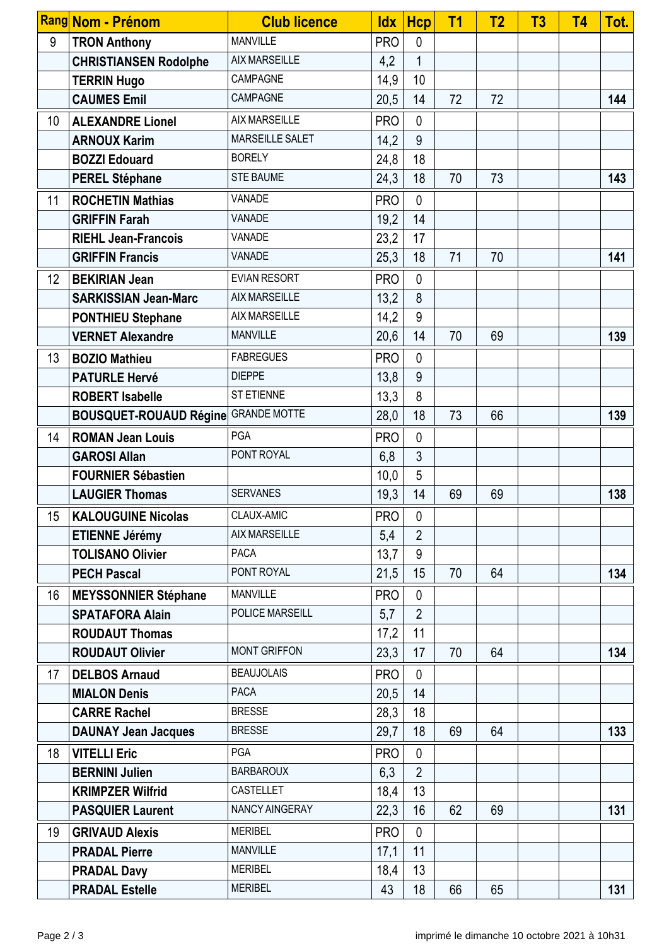|                  | Rang Nom - Prénom                          | <b>Club licence</b>  | <b>Idx</b> | <b>Hcp</b>     | T <sub>1</sub> | <b>T2</b> | T3 | <b>T4</b> | Tot. |
|------------------|--------------------------------------------|----------------------|------------|----------------|----------------|-----------|----|-----------|------|
| 9                | <b>TRON Anthony</b>                        | <b>MANVILLE</b>      | <b>PRO</b> | $\mathbf{0}$   |                |           |    |           |      |
|                  | <b>CHRISTIANSEN Rodolphe</b>               | <b>AIX MARSEILLE</b> | 4,2        | $\mathbf 1$    |                |           |    |           |      |
|                  | <b>TERRIN Hugo</b>                         | CAMPAGNE             | 14,9       | 10             |                |           |    |           |      |
|                  | <b>CAUMES Emil</b>                         | CAMPAGNE             | 20,5       | 14             | 72             | 72        |    |           | 144  |
| 10               | <b>ALEXANDRE Lionel</b>                    | <b>AIX MARSEILLE</b> | <b>PRO</b> | $\mathbf{0}$   |                |           |    |           |      |
|                  | <b>ARNOUX Karim</b>                        | MARSEILLE SALET      | 14,2       | 9              |                |           |    |           |      |
|                  | <b>BOZZI Edouard</b>                       | <b>BORELY</b>        | 24,8       | 18             |                |           |    |           |      |
|                  | <b>PEREL Stéphane</b>                      | <b>STE BAUME</b>     | 24,3       | 18             | 70             | 73        |    |           | 143  |
| 11               | <b>ROCHETIN Mathias</b>                    | VANADE               | <b>PRO</b> | $\mathbf{0}$   |                |           |    |           |      |
|                  | <b>GRIFFIN Farah</b>                       | <b>VANADE</b>        | 19,2       | 14             |                |           |    |           |      |
|                  | <b>RIEHL Jean-Francois</b>                 | <b>VANADE</b>        | 23,2       | 17             |                |           |    |           |      |
|                  | <b>GRIFFIN Francis</b>                     | VANADE               | 25,3       | 18             | 71             | 70        |    |           | 141  |
| 12               | <b>BEKIRIAN Jean</b>                       | <b>EVIAN RESORT</b>  | <b>PRO</b> | $\mathbf{0}$   |                |           |    |           |      |
|                  | <b>SARKISSIAN Jean-Marc</b>                | <b>AIX MARSEILLE</b> | 13,2       | 8              |                |           |    |           |      |
|                  | <b>PONTHIEU Stephane</b>                   | <b>AIX MARSEILLE</b> | 14,2       | 9              |                |           |    |           |      |
|                  | <b>VERNET Alexandre</b>                    | <b>MANVILLE</b>      | 20,6       | 14             | 70             | 69        |    |           | 139  |
| 13               | <b>BOZIO Mathieu</b>                       | <b>FABREGUES</b>     | <b>PRO</b> | $\mathbf{0}$   |                |           |    |           |      |
|                  | <b>PATURLE Hervé</b>                       | <b>DIEPPE</b>        | 13,8       | 9              |                |           |    |           |      |
|                  | <b>ROBERT Isabelle</b>                     | <b>ST ETIENNE</b>    | 13,3       | 8              |                |           |    |           |      |
|                  | <b>BOUSQUET-ROUAUD Régine GRANDE MOTTE</b> |                      | 28,0       | 18             | 73             | 66        |    |           | 139  |
| 14               | <b>ROMAN Jean Louis</b>                    | PGA                  | <b>PRO</b> | $\mathbf{0}$   |                |           |    |           |      |
|                  | <b>GAROSI Allan</b>                        | PONT ROYAL           | 6,8        | 3              |                |           |    |           |      |
|                  | <b>FOURNIER Sébastien</b>                  |                      | 10,0       | 5              |                |           |    |           |      |
|                  | <b>LAUGIER Thomas</b>                      | <b>SERVANES</b>      | 19,3       | 14             | 69             | 69        |    |           | 138  |
| 15 <sup>15</sup> | <b>KALOUGUINE Nicolas</b>                  | CLAUX-AMIC           | <b>PRO</b> | $\mathbf 0$    |                |           |    |           |      |
|                  | <b>ETIENNE Jérémy</b>                      | <b>AIX MARSEILLE</b> | 5,4        | $\overline{2}$ |                |           |    |           |      |
|                  | <b>TOLISANO Olivier</b>                    | <b>PACA</b>          | 13,7       | 9              |                |           |    |           |      |
|                  | <b>PECH Pascal</b>                         | PONT ROYAL           | 21,5       | 15             | 70             | 64        |    |           | 134  |
| 16               | <b>MEYSSONNIER Stéphane</b>                | <b>MANVILLE</b>      | <b>PRO</b> | $\mathbf{0}$   |                |           |    |           |      |
|                  | <b>SPATAFORA Alain</b>                     | POLICE MARSEILL      | 5,7        | $\overline{2}$ |                |           |    |           |      |
|                  | <b>ROUDAUT Thomas</b>                      |                      | 17,2       | 11             |                |           |    |           |      |
|                  | <b>ROUDAUT Olivier</b>                     | <b>MONT GRIFFON</b>  | 23,3       | 17             | 70             | 64        |    |           | 134  |
| 17               | <b>DELBOS Arnaud</b>                       | <b>BEAUJOLAIS</b>    | <b>PRO</b> | $\mathbf{0}$   |                |           |    |           |      |
|                  | <b>MIALON Denis</b>                        | <b>PACA</b>          | 20,5       | 14             |                |           |    |           |      |
|                  | <b>CARRE Rachel</b>                        | <b>BRESSE</b>        | 28,3       | 18             |                |           |    |           |      |
|                  | <b>DAUNAY Jean Jacques</b>                 | <b>BRESSE</b>        | 29,7       | 18             | 69             | 64        |    |           | 133  |
| 18               | <b>VITELLI Eric</b>                        | PGA                  | <b>PRO</b> | $\mathbf{0}$   |                |           |    |           |      |
|                  | <b>BERNINI Julien</b>                      | <b>BARBAROUX</b>     | 6,3        | $\overline{2}$ |                |           |    |           |      |
|                  | <b>KRIMPZER Wilfrid</b>                    | CASTELLET            | 18,4       | 13             |                |           |    |           |      |
|                  | <b>PASQUIER Laurent</b>                    | NANCY AINGERAY       | 22,3       | 16             | 62             | 69        |    |           | 131  |
| 19               | <b>GRIVAUD Alexis</b>                      | <b>MERIBEL</b>       | <b>PRO</b> | $\mathbf{0}$   |                |           |    |           |      |
|                  | <b>PRADAL Pierre</b>                       | <b>MANVILLE</b>      | 17,1       | 11             |                |           |    |           |      |
|                  | <b>PRADAL Davy</b>                         | <b>MERIBEL</b>       | 18,4       | 13             |                |           |    |           |      |
|                  | <b>PRADAL Estelle</b>                      | <b>MERIBEL</b>       | 43         | 18             | 66             | 65        |    |           | 131  |